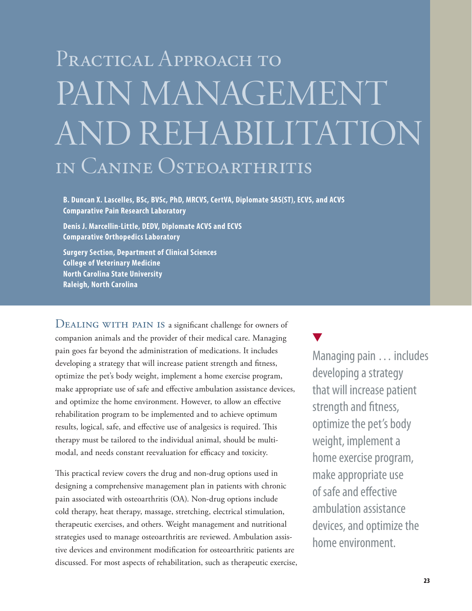# PRACTICAL APPROACH TO PAIN MANAGEMENT and Rehabilitation in Canine Osteoarthritis

**B. Duncan X. Lascelles, BSc, BVSc, PhD, MRCVS, CertVA, Diplomate SAS(ST), ECVS, and ACVS Comparative Pain Research Laboratory**

**Denis J. Marcellin-Little, DEDV, Diplomate ACVS and ECVS Comparative Orthopedics Laboratory**

**Surgery Section, Department of Clinical Sciences College of Veterinary Medicine North Carolina State University Raleigh, North Carolina**

DEALING WITH PAIN IS a significant challenge for owners of companion animals and the provider of their medical care. Managing pain goes far beyond the administration of medications. It includes developing a strategy that will increase patient strength and fitness, optimize the pet's body weight, implement a home exercise program, make appropriate use of safe and effective ambulation assistance devices, and optimize the home environment. However, to allow an effective rehabilitation program to be implemented and to achieve optimum results, logical, safe, and effective use of analgesics is required. This therapy must be tailored to the individual animal, should be multimodal, and needs constant reevaluation for efficacy and toxicity.

This practical review covers the drug and non-drug options used in designing a comprehensive management plan in patients with chronic pain associated with osteoarthritis (OA). Non-drug options include cold therapy, heat therapy, massage, stretching, electrical stimulation, therapeutic exercises, and others. Weight management and nutritional strategies used to manage osteoarthritis are reviewed. Ambulation assistive devices and environment modification for osteoarthritic patients are discussed. For most aspects of rehabilitation, such as therapeutic exercise,

Managing pain … includes developing a strategy that will increase patient strength and fitness, optimize the pet's body weight, implement a home exercise program, make appropriate use of safe and effective ambulation assistance devices, and optimize the home environment.

Ñ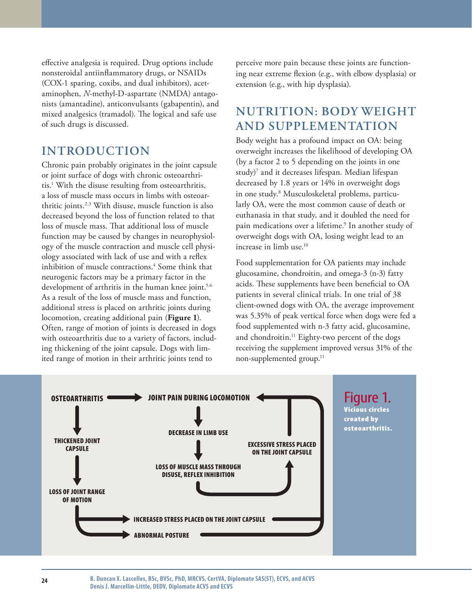effective analgesia is required. Drug options include nonsteroidal antiinflammatory drugs, or NSAIDs (COX-1 sparing, coxibs, and dual inhibitors), acetaminophen, *N*-methyl-D-aspartate (NMDA) antagonists (amantadine), anticonvulsants (gabapentin), and mixed analgesics (tramadol). The logical and safe use of such drugs is discussed.

#### **INTRODUCTION**

Chronic pain probably originates in the joint capsule or joint surface of dogs with chronic osteoarthritis.1 With the disuse resulting from osteoarthritis, a loss of muscle mass occurs in limbs with osteoarthritic joints.2,3 With disuse, muscle function is also decreased beyond the loss of function related to that loss of muscle mass. That additional loss of muscle function may be caused by changes in neurophysiology of the muscle contraction and muscle cell physiology associated with lack of use and with a reflex inhibition of muscle contractions.4 Some think that neurogenic factors may be a primary factor in the development of arthritis in the human knee joint.<sup>5,6</sup> As a result of the loss of muscle mass and function, additional stress is placed on arthritic joints during locomotion, creating additional pain (**Figure 1**). Often, range of motion of joints is decreased in dogs with osteoarthritis due to a variety of factors, including thickening of the joint capsule. Dogs with limited range of motion in their arthritic joints tend to

perceive more pain because these joints are functioning near extreme flexion (e.g., with elbow dysplasia) or extension (e.g., with hip dysplasia).

## **Nutrition: body weight and supplementation**

Body weight has a profound impact on OA: being overweight increases the likelihood of developing OA (by a factor 2 to 5 depending on the joints in one study) $^7$  and it decreases lifespan. Median lifespan decreased by 1.8 years or 14% in overweight dogs in one study.8 Musculoskeletal problems, particularly OA, were the most common cause of death or euthanasia in that study, and it doubled the need for pain medications over a lifetime.<sup>9</sup> In another study of overweight dogs with OA, losing weight lead to an increase in limb use.10

Food supplementation for OA patients may include glucosamine, chondroitin, and omega-3 (n-3) fatty acids. These supplements have been beneficial to OA patients in several clinical trials. In one trial of 38 client-owned dogs with OA, the average improvement was 5.35% of peak vertical force when dogs were fed a food supplemented with n-3 fatty acid, glucosamine, and chondroitin.<sup>11</sup> Eighty-two percent of the dogs receiving the supplement improved versus 31% of the non-supplemented group.<sup>11</sup>

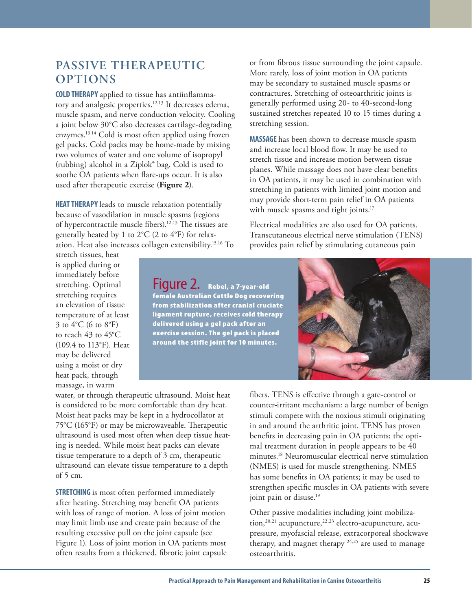### **PASSIVE Therapeutic options**

**Cold therapy** applied to tissue has antiinflammatory and analgesic properties.12,13 It decreases edema, muscle spasm, and nerve conduction velocity. Cooling a joint below 30°C also decreases cartilage-degrading enzymes.13,14 Cold is most often applied using frozen gel packs. Cold packs may be home-made by mixing two volumes of water and one volume of isopropyl (rubbing) alcohol in a Ziplok® bag. Cold is used to soothe OA patients when flare-ups occur. It is also used after therapeutic exercise (**Figure 2**).

**HEAT THERAPY** leads to muscle relaxation potentially because of vasodilation in muscle spasms (regions of hypercontractile muscle fibers).12,13 The tissues are generally heated by 1 to 2°C (2 to 4°F) for relaxation. Heat also increases collagen extensibility.15,16 To

stretch tissues, heat is applied during or immediately before stretching. Optimal stretching requires an elevation of tissue temperature of at least 3 to 4°C (6 to 8°F) to reach 43 to 45°C (109.4 to 113°F). Heat may be delivered using a moist or dry heat pack, through massage, in warm

Figure 2. Rebel, a 7-year-old female Australian Cattle Dog recovering from stabilization after cranial cruciate ligament rupture, receives cold therapy delivered using a gel pack after an exercise session. The gel pack is placed around the stifle joint for 10 minutes.

or from fibrous tissue surrounding the joint capsule. More rarely, loss of joint motion in OA patients may be secondary to sustained muscle spasms or contractures. Stretching of osteoarthritic joints is generally performed using 20- to 40-second-long sustained stretches repeated 10 to 15 times during a stretching session.

**Massage** has been shown to decrease muscle spasm and increase local blood flow. It may be used to stretch tissue and increase motion between tissue planes. While massage does not have clear benefits in OA patients, it may be used in combination with stretching in patients with limited joint motion and may provide short-term pain relief in OA patients with muscle spasms and tight joints.<sup>17</sup>

Electrical modalities are also used for OA patients. Transcutaneous electrical nerve stimulation (TENS) provides pain relief by stimulating cutaneous pain



water, or through therapeutic ultrasound. Moist heat is considered to be more comfortable than dry heat. Moist heat packs may be kept in a hydrocollator at 75°C (165°F) or may be microwaveable. Therapeutic ultrasound is used most often when deep tissue heating is needed. While moist heat packs can elevate tissue temperature to a depth of 3 cm, therapeutic ultrasound can elevate tissue temperature to a depth of 5 cm.

**STRETCHING** is most often performed immediately after heating. Stretching may benefit OA patients with loss of range of motion. A loss of joint motion may limit limb use and create pain because of the resulting excessive pull on the joint capsule (see Figure 1). Loss of joint motion in OA patients most often results from a thickened, fibrotic joint capsule counter-irritant mechanism: a large number of benign stimuli compete with the noxious stimuli originating in and around the arthritic joint. TENS has proven benefits in decreasing pain in OA patients; the optimal treatment duration in people appears to be 40 minutes.18 Neuromuscular electrical nerve stimulation (NMES) is used for muscle strengthening. NMES has some benefits in OA patients; it may be used to strengthen specific muscles in OA patients with severe joint pain or disuse.<sup>19</sup>

Other passive modalities including joint mobilization, $20,21$  acupuncture, $22,23$  electro-acupuncture, acupressure, myofascial release, extracorporeal shockwave therapy, and magnet therapy  $24.25$  are used to manage osteoarthritis.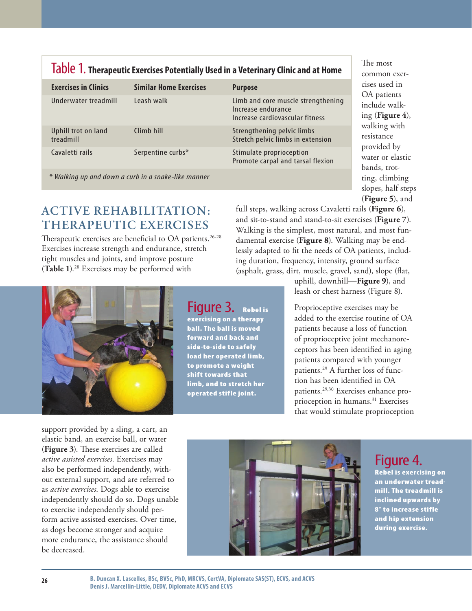| <b>Exercises in Clinics</b>                         | <b>Similar Home Exercises</b> | <b>Purpose</b>                                                                              |  |  |  |  |  |
|-----------------------------------------------------|-------------------------------|---------------------------------------------------------------------------------------------|--|--|--|--|--|
| Underwater treadmill                                | Leash walk                    | Limb and core muscle strengthening<br>Increase endurance<br>Increase cardiovascular fitness |  |  |  |  |  |
| Uphill trot on land<br>treadmill                    | Climb hill                    | Strengthening pelvic limbs<br>Stretch pelvic limbs in extension                             |  |  |  |  |  |
| Cavaletti rails                                     | Serpentine curbs*             | Stimulate proprioception<br>Promote carpal and tarsal flexion                               |  |  |  |  |  |
| * Walking up and down a curb in a snake-like manner |                               |                                                                                             |  |  |  |  |  |

## Table 1. **Therapeutic Exercises Potentially Used in a Veterinary Clinic and at Home**

**ACTIVE REHABILITATION: THERAPEUTIC EXERCISES**

Therapeutic exercises are beneficial to OA patients.<sup>26-28</sup> Exercises increase strength and endurance, stretch tight muscles and joints, and improve posture (**Table 1**).28 Exercises may be performed with

(**Figure 5**), and full steps, walking across Cavaletti rails (**Figure 6**), and sit-to-stand and stand-to-sit exercises (**Figure 7**). Walking is the simplest, most natural, and most fundamental exercise (**Figure 8**). Walking may be endlessly adapted to fit the needs of OA patients, including duration, frequency, intensity, ground surface (asphalt, grass, dirt, muscle, gravel, sand), slope (flat,

uphill, downhill—**Figure 9**), and leash or chest harness (Figure 8).

The most common exercises used in OA patients include walking (**Figure 4**), walking with resistance provided by water or elastic bands, trotting, climbing slopes, half steps

Proprioceptive exercises may be added to the exercise routine of OA patients because a loss of function of proprioceptive joint mechanoreceptors has been identified in aging patients compared with younger patients.29 A further loss of function has been identified in OA patients.29,30 Exercises enhance proprioception in humans.<sup>31</sup> Exercises that would stimulate proprioception

support provided by a sling, a cart, an independently should do so. Dogs unable form active assisted exercises. Over time,



elastic band, an exercise ball, or water (**Figure 3**). These exercises are called *active assisted exercises*. Exercises may also be performed independently, without external support, and are referred to as *active exercises*. Dogs able to exercise to exercise independently should peras dogs become stronger and acquire more endurance, the assistance should be decreased.



Figure 4. Rebel is exercising on an underwater treadmill. The treadmill is inclined upwards by 8° to increase stifle and hip extension during exercise.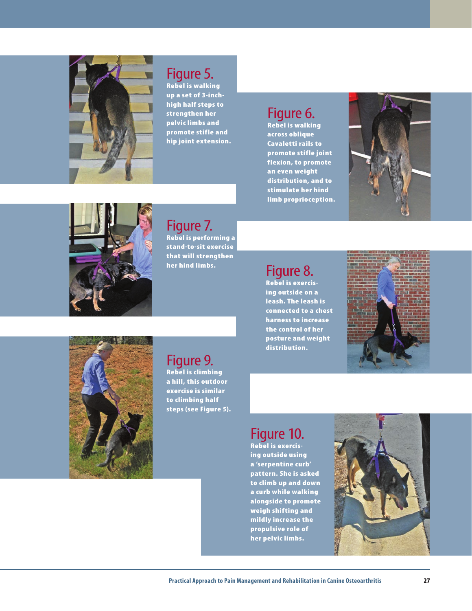

## Figure 5.

Rebel is walking up a set of 3-inchhigh half steps to strengthen her pelvic limbs and promote stifle and hip joint extension.

## Figure 6.

Rebel is walking across oblique Cavaletti rails to promote stifle joint flexion, to promote an even weight distribution, and to stimulate her hind limb proprioception.





Figure 7. Rebel is performing a stand-to-sit exercise that will strengthen her hind limbs.

## Figure 8.

Rebel is exercising outside on a leash. The leash is connected to a chest harness to increase the control of her posture and weight distribution.





## Figure 9.

Rebel is climbing a hill, this outdoor exercise is similar to climbing half steps (see Figure 5).

## Figure 10.

Rebel is exercising outside using a 'serpentine curb' pattern. She is asked to climb up and down a curb while walking alongside to promote weigh shifting and mildly increase the propulsive role of her pelvic limbs.

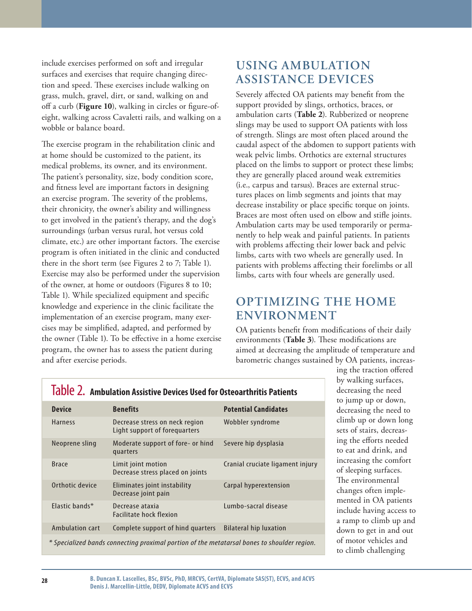include exercises performed on soft and irregular surfaces and exercises that require changing direction and speed. These exercises include walking on grass, mulch, gravel, dirt, or sand, walking on and off a curb (**Figure 10**), walking in circles or figure-ofeight, walking across Cavaletti rails, and walking on a wobble or balance board.

The exercise program in the rehabilitation clinic and at home should be customized to the patient, its medical problems, its owner, and its environment. The patient's personality, size, body condition score, and fitness level are important factors in designing an exercise program. The severity of the problems, their chronicity, the owner's ability and willingness to get involved in the patient's therapy, and the dog's surroundings (urban versus rural, hot versus cold climate, etc.) are other important factors. The exercise program is often initiated in the clinic and conducted there in the short term (see Figures 2 to 7; Table 1). Exercise may also be performed under the supervision of the owner, at home or outdoors (Figures 8 to 10; Table 1). While specialized equipment and specific knowledge and experience in the clinic facilitate the implementation of an exercise program, many exercises may be simplified, adapted, and performed by the owner (Table 1**)**. To be effective in a home exercise program, the owner has to assess the patient during and after exercise periods.

## **Using ambulation assistance devices**

Severely affected OA patients may benefit from the support provided by slings, orthotics, braces, or ambulation carts (**Table 2**). Rubberized or neoprene slings may be used to support OA patients with loss of strength. Slings are most often placed around the caudal aspect of the abdomen to support patients with weak pelvic limbs. Orthotics are external structures placed on the limbs to support or protect these limbs; they are generally placed around weak extremities (i.e., carpus and tarsus). Braces are external structures places on limb segments and joints that may decrease instability or place specific torque on joints. Braces are most often used on elbow and stifle joints. Ambulation carts may be used temporarily or permanently to help weak and painful patients. In patients with problems affecting their lower back and pelvic limbs, carts with two wheels are generally used. In patients with problems affecting their forelimbs or all limbs, carts with four wheels are generally used.

## **Optimizing the home environment**

OA patients benefit from modifications of their daily environments (**Table 3**). These modifications are aimed at decreasing the amplitude of temperature and barometric changes sustained by OA patients, increas-

| <b>Device</b>                                                                               | <b>Benefits</b>                                                 | <b>Potential Candidates</b>      |  |  |  |  |
|---------------------------------------------------------------------------------------------|-----------------------------------------------------------------|----------------------------------|--|--|--|--|
| <b>Harness</b>                                                                              | Decrease stress on neck region<br>Light support of forequarters | Wobbler syndrome                 |  |  |  |  |
| Neoprene sling                                                                              | Moderate support of fore- or hind<br>quarters                   | Severe hip dysplasia             |  |  |  |  |
| <b>Brace</b>                                                                                | Limit joint motion<br>Decrease stress placed on joints          | Cranial cruciate ligament injury |  |  |  |  |
| Orthotic device                                                                             | Eliminates joint instability<br>Decrease joint pain             | Carpal hyperextension            |  |  |  |  |
| Elastic bands*                                                                              | Decrease ataxia<br><b>Facilitate hock flexion</b>               | Lumbo-sacral disease             |  |  |  |  |
| Ambulation cart                                                                             | Complete support of hind quarters                               | <b>Bilateral hip luxation</b>    |  |  |  |  |
| * Specialized bands connecting proximal portion of the metatarsal bones to shoulder region. |                                                                 |                                  |  |  |  |  |

#### Table 2. **Ambulation Assistive Devices Used for Osteoarthritis Patients**

ing the traction offered by walking surfaces, decreasing the need to jump up or down, decreasing the need to climb up or down long sets of stairs, decreasing the efforts needed to eat and drink, and increasing the comfort of sleeping surfaces. The environmental changes often implemented in OA patients include having access to a ramp to climb up and down to get in and out of motor vehicles and to climb challenging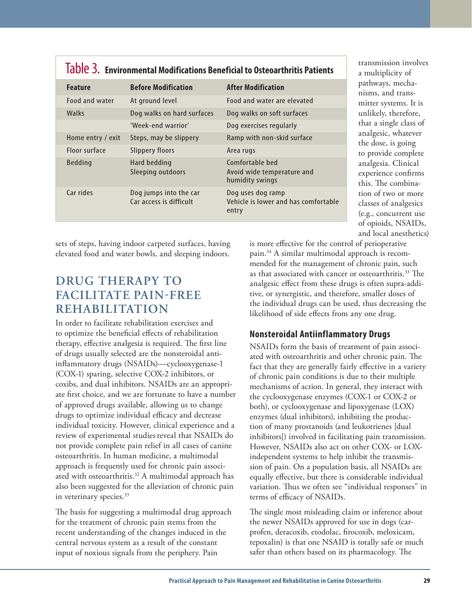| TQDIC D. Environmental Modifications Beneficial to Osteoarthritis Patients |                                                   |                                                                    |  |  |  |
|----------------------------------------------------------------------------|---------------------------------------------------|--------------------------------------------------------------------|--|--|--|
| <b>Feature</b>                                                             | <b>Before Modification</b>                        | <b>After Modification</b>                                          |  |  |  |
| Food and water                                                             | At ground level                                   | Food and water are elevated                                        |  |  |  |
| Walks                                                                      | Dog walks on hard surfaces                        | Dog walks on soft surfaces                                         |  |  |  |
|                                                                            | 'Week-end warrior'                                | Dog exercises regularly                                            |  |  |  |
| Home entry / exit                                                          | Steps, may be slippery                            | Ramp with non-skid surface                                         |  |  |  |
| Floor surface                                                              | Slippery floors                                   | Area rugs                                                          |  |  |  |
| <b>Bedding</b>                                                             | Hard bedding<br>Sleeping outdoors                 | Comfortable bed<br>Avoid wide temperature and<br>humidity swings   |  |  |  |
| Car rides                                                                  | Dog jumps into the car<br>Car access is difficult | Dog uses dog ramp<br>Vehicle is lower and has comfortable<br>entry |  |  |  |

Table 3. **Environmental Modifications Beneficial to Osteoarthritis Patients**

sets of steps, having indoor carpeted surfaces, having elevated food and water bowls, and sleeping indoors.

## **DRUG THERAPY TO FACILITATE PAIN-FREE REHABILITATION**

In order to facilitate rehabilitation exercises and to optimize the beneficial effects of rehabilitation therapy, effective analgesia is required. The first line of drugs usually selected are the nonsteroidal antiinflammatory drugs (NSAIDs)—cyclooxygenase-1 (COX-1) sparing, selective COX-2 inhibitors, or coxibs, and dual inhibitors. NSAIDs are an appropriate first choice, and we are fortunate to have a number of approved drugs available, allowing us to change drugs to optimize individual efficacy and decrease individual toxicity. However, clinical experience and a review of experimental studies reveal that NSAIDs do not provide complete pain relief in all cases of canine osteoarthritis. In human medicine, a multimodal approach is frequently used for chronic pain associated with osteoarthritis.<sup>32</sup> A multimodal approach has also been suggested for the alleviation of chronic pain in veterinary species.<sup>33</sup>

The basis for suggesting a multimodal drug approach for the treatment of chronic pain stems from the recent understanding of the changes induced in the central nervous system as a result of the constant input of noxious signals from the periphery. Pain

classes of analgesics (e.g., concurrent use of opioids, NSAIDs, and local anesthetics) is more effective for the control of perioperative pain.34 A similar multimodal approach is recommended for the management of chronic pain, such as that associated with cancer or osteoarthritis.<sup>33</sup> The analgesic effect from these drugs is often supra-additive, or synergistic, and therefore, smaller doses of the individual drugs can be used, thus decreasing the likelihood of side effects from any one drug.

transmission involves a multiplicity of pathways, mechanisms, and transmitter systems. It is unlikely, therefore, that a single class of analgesic, whatever the dose, is going to provide complete analgesia. Clinical experience confirms this. The combination of two or more

#### **Nonsteroidal Antiinflammatory Drugs**

NSAIDs form the basis of treatment of pain associated with osteoarthritis and other chronic pain. The fact that they are generally fairly effective in a variety of chronic pain conditions is due to their multiple mechanisms of action. In general, they interact with the cyclooxygenase enzymes (COX-1 or COX-2 or both), or cyclooxygenase and lipoxygenase (LOX) enzymes (dual inhibitors), inhibiting the production of many prostanoids (and leukotrienes [dual inhibitors]) involved in facilitating pain transmission. However, NSAIDs also act on other COX- or LOXindependent systems to help inhibit the transmission of pain. On a population basis, all NSAIDs are equally effective, but there is considerable individual variation. Thus we often see "individual responses" in terms of efficacy of NSAIDs.

The single most misleading claim or inference about the newer NSAIDs approved for use in dogs (carprofen, deracoxib, etodolac, firocoxib, meloxicam, tepoxalin) is that one NSAID is totally safe or much safer than others based on its pharmacology. The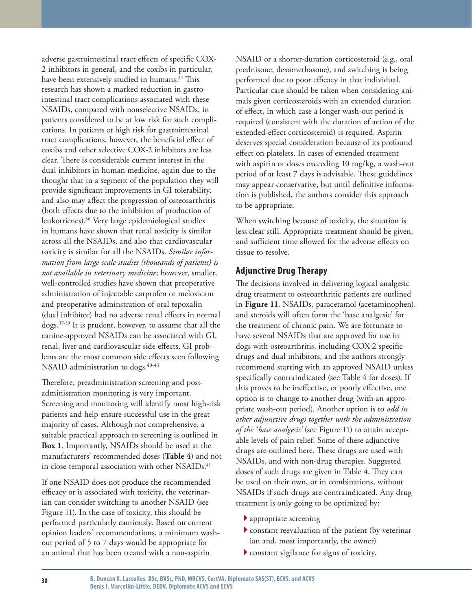adverse gastrointestinal tract effects of specific COX-2 inhibitors in general, and the coxibs in particular, have been extensively studied in humans.<sup>35</sup> This research has shown a marked reduction in gastrointestinal tract complications associated with these NSAIDs, compared with nonselective NSAIDs, in patients considered to be at low risk for such complications. In patients at high risk for gastrointestinal tract complications, however, the beneficial effect of coxibs and other selective COX-2 inhibitors are less clear. There is considerable current interest in the dual inhibitors in human medicine, again due to the thought that in a segment of the population they will provide significant improvements in GI tolerability, and also may affect the progression of osteosarthritis (both effects due to the inhibition of production of leukotrienes).36 Very large epidemiological studies in humans have shown that renal toxicity is similar across all the NSAIDs, and also that cardiovascular toxicity is similar for all the NSAIDs. *Similar information from large-scale studies (thousands of patients) is not available in veterinary medicine*; however, smaller, well-controlled studies have shown that preoperative administration of injectable carprofen or meloxicam and preoperative adminstration of oral tepoxalin (dual inhibitor) had no adverse renal effects in normal dogs.37-39 It is prudent, however, to assume that all the canine-approved NSAIDs can be associated with GI, renal, liver and cardiovascular side effects. GI problems are the most common side effects seen following NSAID administration to dogs.<sup>40-43</sup>

Therefore, preadministration screening and postadministration monitoring is very important. Screening and monitoring will identify most high-risk patients and help ensure successful use in the great majority of cases. Although not comprehensive, a suitable practical approach to screening is outlined in **Box 1**. Importantly, NSAIDs should be used at the manufacturers' recommended doses (**Table 4**) and not in close temporal association with other NSAIDs.<sup>41</sup>

If one NSAID does not produce the recommended efficacy or is associated with toxicity, the veterinarian can consider switching to another NSAID (see Figure 11). In the case of toxicity, this should be performed particularly cautiously. Based on current opinion leaders' recommendations, a minimum washout period of 5 to 7 days would be appropriate for an animal that has been treated with a non-aspirin

NSAID or a shorter-duration corticosteroid (e.g., oral prednisone, dexamethasone), and switching is being performed due to poor efficacy in that individual. Particular care should be taken when considering animals given corticosteroids with an extended duration of effect, in which case a longer wash-out period is required (consistent with the duration of action of the extended-effect corticosteroid) is required. Aspirin deserves special consideration because of its profound effect on platelets. In cases of extended treatment with aspirin or doses exceeding 10 mg/kg, a wash-out period of at least 7 days is advisable. These guidelines may appear conservative, but until definitive information is published, the authors consider this approach to be appropriate.

When switching because of toxicity, the situation is less clear still. Appropriate treatment should be given, and sufficient time allowed for the adverse effects on tissue to resolve.

#### **Adjunctive Drug Therapy**

The decisions involved in delivering logical analgesic drug treatment to osteoarthritic patients are outlined in **Figure 11**. NSAIDs, paracetamol (acetaminophen), and steroids will often form the 'base analgesic' for the treatment of chronic pain. We are fortunate to have several NSAIDs that are approved for use in dogs with osteoarthritis, including COX-2 specific drugs and dual inhibitors, and the authors strongly recommend starting with an approved NSAID unless specifically contraindicated (see Table 4 for doses). If this proves to be ineffective, or poorly effective, one option is to change to another drug (with an appropriate wash-out period). Another option is to *add in other adjunctive drugs together with the administration of the 'base analgesic'* (see Figure 11) to attain acceptable levels of pain relief. Some of these adjunctive drugs are outlined here. These drugs are used with NSAIDs, and with non-drug therapies. Suggested doses of such drugs are given in Table 4. They can be used on their own, or in combinations, without NSAIDs if such drugs are contraindicated. Any drug treatment is only going to be optimized by:

- appropriate screening 4
- constant reevaluation of the patient (by veterinar-4 ian and, most importantly, the owner)
- $\blacktriangleright$  constant vigilance for signs of toxicity.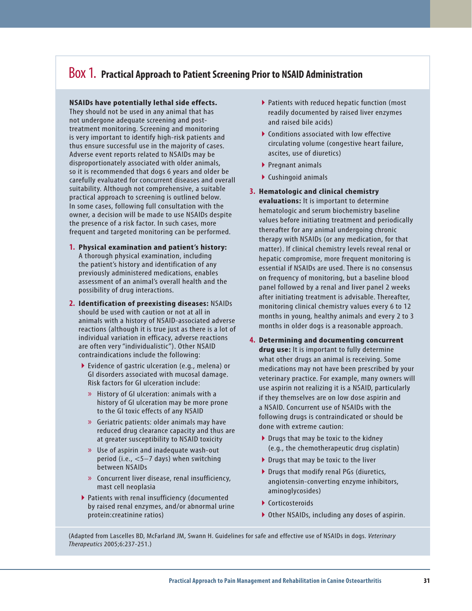## Box 1. **Practical Approach to Patient Screening Prior to NSAID Administration**

#### **NSAIDs have potentially lethal side effects.**

They should not be used in any animal that has not undergone adequate screening and posttreatment monitoring. Screening and monitoring is very important to identify high-risk patients and thus ensure successful use in the majority of cases. Adverse event reports related to NSAIDs may be disproportionately associated with older animals, so it is recommended that dogs 6 years and older be carefully evaluated for concurrent diseases and overall suitability. Although not comprehensive, a suitable practical approach to screening is outlined below. In some cases, following full consultation with the owner, a decision will be made to use NSAIDs despite the presence of a risk factor. In such cases, more frequent and targeted monitoring can be performed.

- **Physical examination and patient's history: 1.** A thorough physical examination, including the patient's history and identification of any previously administered medications, enables assessment of an animal's overall health and the possibility of drug interactions.
- **Identification of preexisting diseases:** NSAIDs **2.** should be used with caution or not at all in animals with a history of NSAID-associated adverse reactions (although it is true just as there is a lot of individual variation in efficacy, adverse reactions are often very "individualistic"). Other NSAID contraindications include the following:
	- ▶ Evidence of gastric ulceration (e.g., melena) or GI disorders associated with mucosal damage. Risk factors for GI ulceration include:
		- » History of GI ulceration: animals with a history of GI ulceration may be more prone to the GI toxic effects of any NSAID
		- » Geriatric patients: older animals may have reduced drug clearance capacity and thus are at greater susceptibility to NSAID toxicity
		- Use of aspirin and inadequate wash-out » period (i.e., <5–7 days) when switching between NSAIDs
		- » Concurrent liver disease, renal insufficiency, mast cell neoplasia
	- Patients with renal insufficiency (documented 4 by raised renal enzymes, and/or abnormal urine protein:creatinine ratios)
- ▶ Patients with reduced hepatic function (most readily documented by raised liver enzymes and raised bile acids)
- ▶ Conditions associated with low effective circulating volume (congestive heart failure, ascites, use of diuretics)
- ▶ Pregnant animals
- Cushingoid animals 4
- **Hematologic and clinical chemistry 3. evaluations:** It is important to determine hematologic and serum biochemistry baseline values before initiating treatment and periodically thereafter for any animal undergoing chronic therapy with NSAIDs (or any medication, for that matter). If clinical chemistry levels reveal renal or hepatic compromise, more frequent monitoring is essential if NSAIDs are used. There is no consensus on frequency of monitoring, but a baseline blood panel followed by a renal and liver panel 2 weeks after initiating treatment is advisable. Thereafter, monitoring clinical chemistry values every 6 to 12 months in young, healthy animals and every 2 to 3 months in older dogs is a reasonable approach.
- **Determining and documenting concurrent . drug use:** It is important to fully determine what other drugs an animal is receiving. Some medications may not have been prescribed by your veterinary practice. For example, many owners will use aspirin not realizing it is a NSAID, particularly if they themselves are on low dose aspirin and a NSAID. Concurrent use of NSAIDs with the following drugs is contraindicated or should be done with extreme caution:
	- ▶ Drugs that may be toxic to the kidney (e.g., the chemotherapeutic drug cisplatin)
	- ▶ Drugs that may be toxic to the liver
	- ▶ Drugs that modify renal PGs (diuretics, angiotensin-converting enzyme inhibitors, aminoglycosides)
	- ▶ Corticosteroids
	- ▶ Other NSAIDs, including any doses of aspirin.

(Adapted from Lascelles BD, McFarland JM, Swann H. Guidelines for safe and effective use of NSAIDs in dogs. *Veterinary Therapeutics* 2005;6:237-251.)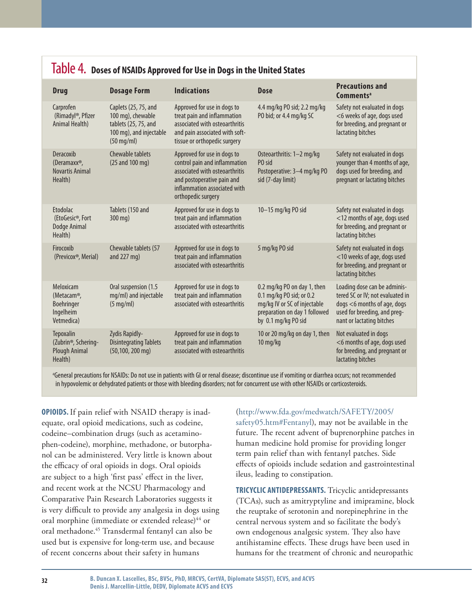| it bested in the control the protection of the property of the control states |                                                                                                                      |                                                                                                                                                                                    |                                                                                                                                                 |                                                                                                                                                              |  |  |  |
|-------------------------------------------------------------------------------|----------------------------------------------------------------------------------------------------------------------|------------------------------------------------------------------------------------------------------------------------------------------------------------------------------------|-------------------------------------------------------------------------------------------------------------------------------------------------|--------------------------------------------------------------------------------------------------------------------------------------------------------------|--|--|--|
| <b>Drug</b>                                                                   | <b>Dosage Form</b>                                                                                                   | <b>Indications</b>                                                                                                                                                                 | <b>Dose</b>                                                                                                                                     | <b>Precautions and</b><br>Comments <sup>a</sup>                                                                                                              |  |  |  |
| Carprofen<br>(Rimadyl <sup>®</sup> , Pfizer<br>Animal Health)                 | Caplets (25, 75, and<br>100 mg), chewable<br>tablets (25, 75, and<br>100 mg), and injectable<br>$(50 \text{ mg/ml})$ | Approved for use in dogs to<br>treat pain and inflammation<br>associated with osteoarthritis<br>and pain associated with soft-<br>tissue or orthopedic surgery                     | 4.4 mg/kg P0 sid; 2.2 mg/kg<br>PO bid; or 4.4 mg/kg SC                                                                                          | Safety not evaluated in dogs<br><6 weeks of age, dogs used<br>for breeding, and pregnant or<br>lactating bitches                                             |  |  |  |
| Deracoxib<br>(Deramaxx®,<br><b>Novartis Animal</b><br>Health)                 | <b>Chewable tablets</b><br>(25 and 100 mg)                                                                           | Approved for use in dogs to<br>control pain and inflammation<br>associated with osteoarthritis<br>and postoperative pain and<br>inflammation associated with<br>orthopedic surgery | Osteoarthritis: 1-2 mg/kg<br>PO sid<br>Postoperative: 3-4 mg/kg PO<br>sid (7-day limit)                                                         | Safety not evaluated in dogs<br>younger than 4 months of age,<br>dogs used for breeding, and<br>pregnant or lactating bitches                                |  |  |  |
| Etodolac<br>(EtoGesic®, Fort<br>Dodge Animal<br>Health)                       | Tablets (150 and<br>300 mg)                                                                                          | Approved for use in dogs to<br>treat pain and inflammation<br>associated with osteoarthritis                                                                                       | 10-15 mg/kg PO sid                                                                                                                              | Safety not evaluated in dogs<br><12 months of age, dogs used<br>for breeding, and pregnant or<br>lactating bitches                                           |  |  |  |
| Firocoxib<br>(Previcox®, Merial)                                              | Chewable tablets (57<br>and 227 mg)                                                                                  | Approved for use in dogs to<br>treat pain and inflammation<br>associated with osteoarthritis                                                                                       | 5 mg/kg PO sid                                                                                                                                  | Safety not evaluated in dogs<br><10 weeks of age, dogs used<br>for breeding, and pregnant or<br>lactating bitches                                            |  |  |  |
| Meloxicam<br>(Metacam®,<br><b>Boehringer</b><br>Ingelheim<br>Vetmedica)       | Oral suspension (1.5<br>mg/ml) and injectable<br>$(5 \text{ mg/ml})$                                                 | Approved for use in dogs to<br>treat pain and inflammation<br>associated with osteoarthritis                                                                                       | 0.2 mg/kg PO on day 1, then<br>0.1 mg/kg PO sid; or 0.2<br>mg/kg IV or SC of injectable<br>preparation on day 1 followed<br>by 0.1 mg/kg PO sid | Loading dose can be adminis-<br>tered SC or IV; not evaluated in<br>dogs <6 months of age, dogs<br>used for breeding, and preg-<br>nant or lactating bitches |  |  |  |
| <b>Tepoxalin</b><br>(Zubrin®, Schering-<br>Plough Animal<br>Health)           | Zydis Rapidly-<br><b>Disintegrating Tablets</b><br>$(50, 100, 200$ mg)                                               | Approved for use in dogs to<br>treat pain and inflammation<br>associated with osteoarthritis                                                                                       | 10 or 20 mg/kg on day 1, then<br>10 mg/kg                                                                                                       | Not evaluated in dogs<br><6 months of age, dogs used<br>for breeding, and pregnant or<br>lactating bitches                                                   |  |  |  |

## Table 4. **Doses of NSAIDs Approved for Use in Dogs in the United States**

*a* General precautions for NSAIDs: Do not use in patients with GI or renal disease; discontinue use if vomiting or diarrhea occurs; not recommended in hypovolemic or dehydrated patients or those with bleeding disorders; not for concurrent use with other NSAIDs or corticosteroids.

**OPIOIDS.** If pain relief with NSAID therapy is inadequate, oral opioid medications, such as codeine, codeine–combination drugs (such as acetaminophen-codeine), morphine, methadone, or butorphanol can be administered. Very little is known about the efficacy of oral opioids in dogs. Oral opioids are subject to a high 'first pass' effect in the liver, and recent work at the NCSU Pharmacology and Comparative Pain Research Laboratories suggests it is very difficult to provide any analgesia in dogs using oral morphine (immediate or extended release)<sup>44</sup> or oral methadone.45 Transdermal fentanyl can also be used but is expensive for long-term use, and because of recent concerns about their safety in humans

(http://www.fda.gov/medwatch/SAFETY/2005/ safety05.htm#Fentanyl), may not be available in the future. The recent advent of buprenorphine patches in human medicine hold promise for providing longer term pain relief than with fentanyl patches. Side effects of opioids include sedation and gastrointestinal ileus, leading to constipation.

**Tricyclic Antidepressants.** Tricyclic antidepressants (TCAs), such as amitryptyline and imipramine, block the reuptake of serotonin and norepinephrine in the central nervous system and so facilitate the body's own endogenous analgesic system. They also have antihistamine effects. These drugs have been used in humans for the treatment of chronic and neuropathic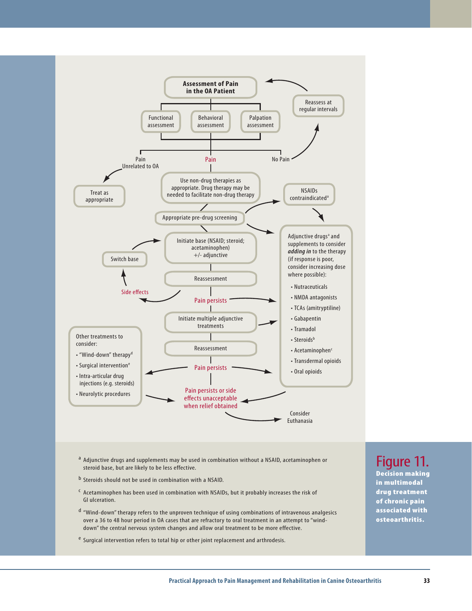

- <sup>a</sup> Adjunctive drugs and supplements may be used in combination without a NSAID, acetaminophen or steroid base, but are likely to be less effective.
- b Steroids should not be used in combination with a NSAID.
- c Acetaminophen has been used in combination with NSAIDs, but it probably increases the risk of GI ulceration.
- d "Wind-down" therapy refers to the unproven technique of using combinations of intravenous analgesics over a 36 to 48 hour period in OA cases that are refractory to oral treatment in an attempt to "winddown" the central nervous system changes and allow oral treatment to be more effective.
- e Surgical intervention refers to total hip or other joint replacement and arthrodesis.

## Figure 11.

Decision making in multimodal drug treatment of chronic pain associated with osteoarthritis.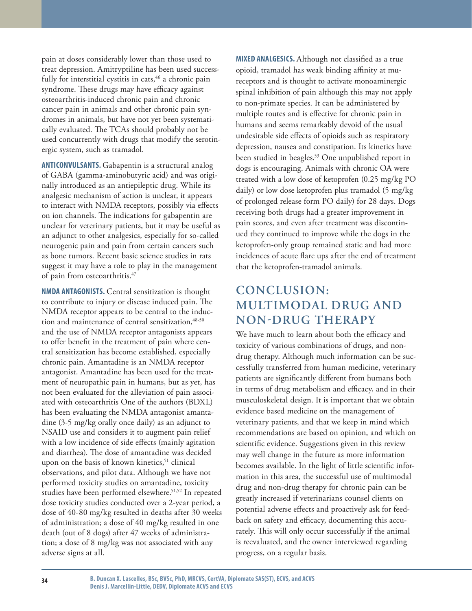pain at doses considerably lower than those used to treat depression. Amitryptiline has been used successfully for interstitial cystitis in cats,  $46$  a chronic pain syndrome. These drugs may have efficacy against osteoarthritis-induced chronic pain and chronic cancer pain in animals and other chronic pain syndromes in animals, but have not yet been systematically evaluated. The TCAs should probably not be used concurrently with drugs that modify the serotinergic system, such as tramadol.

**Anticonvulsants.** Gabapentin is a structural analog of GABA (gamma-aminobutyric acid) and was originally introduced as an antiepileptic drug. While its analgesic mechanism of action is unclear, it appears to interact with NMDA receptors, possibly via effects on ion channels. The indications for gabapentin are unclear for veterinary patients, but it may be useful as an adjunct to other analgesics, especially for so-called neurogenic pain and pain from certain cancers such as bone tumors. Recent basic science studies in rats suggest it may have a role to play in the management of pain from osteoarthritis.<sup>47</sup>

**NMDA Antagonists.** Central sensitization is thought to contribute to injury or disease induced pain. The NMDA receptor appears to be central to the induction and maintenance of central sensitization,  $48-50$ and the use of NMDA receptor antagonists appears to offer benefit in the treatment of pain where central sensitization has become established, especially chronic pain. Amantadine is an NMDA receptor antagonist. Amantadine has been used for the treatment of neuropathic pain in humans, but as yet, has not been evaluated for the alleviation of pain associated with osteoarthritis One of the authors (BDXL) has been evaluating the NMDA antagonist amantadine (3-5 mg/kg orally once daily) as an adjunct to NSAID use and considers it to augment pain relief with a low incidence of side effects (mainly agitation and diarrhea). The dose of amantadine was decided upon on the basis of known kinetics,<sup>51</sup> clinical observations, and pilot data. Although we have not performed toxicity studies on amantadine, toxicity studies have been performed elsewhere.<sup>51,52</sup> In repeated dose toxicity studies conducted over a 2-year period, a dose of 40-80 mg/kg resulted in deaths after 30 weeks of administration; a dose of 40 mg/kg resulted in one death (out of 8 dogs) after 47 weeks of administration; a dose of 8 mg/kg was not associated with any adverse signs at all.

**Mixed Analgesics.** Although not classified as a true opioid, tramadol has weak binding affinity at mureceptors and is thought to activate monoaminergic spinal inhibition of pain although this may not apply to non-primate species. It can be administered by multiple routes and is effective for chronic pain in humans and seems remarkably devoid of the usual undesirable side effects of opioids such as respiratory depression, nausea and constipation. Its kinetics have been studied in beagles.<sup>53</sup> One unpublished report in dogs is encouraging. Animals with chronic OA were treated with a low dose of ketoprofen (0.25 mg/kg PO daily) or low dose ketoprofen plus tramadol (5 mg/kg of prolonged release form PO daily) for 28 days. Dogs receiving both drugs had a greater improvement in pain scores, and even after treatment was discontinued they continued to improve while the dogs in the ketoprofen-only group remained static and had more incidences of acute flare ups after the end of treatment that the ketoprofen-tramadol animals.

## **Conclusion: Multimodal drug and non-drug therapy**

We have much to learn about both the efficacy and toxicity of various combinations of drugs, and nondrug therapy. Although much information can be successfully transferred from human medicine, veterinary patients are significantly different from humans both in terms of drug metabolism and efficacy, and in their musculoskeletal design. It is important that we obtain evidence based medicine on the management of veterinary patients, and that we keep in mind which recommendations are based on opinion, and which on scientific evidence. Suggestions given in this review may well change in the future as more information becomes available. In the light of little scientific information in this area, the successful use of multimodal drug and non-drug therapy for chronic pain can be greatly increased if veterinarians counsel clients on potential adverse effects and proactively ask for feedback on safety and efficacy, documenting this accurately. This will only occur successfully if the animal is reevaluated, and the owner interviewed regarding progress, on a regular basis.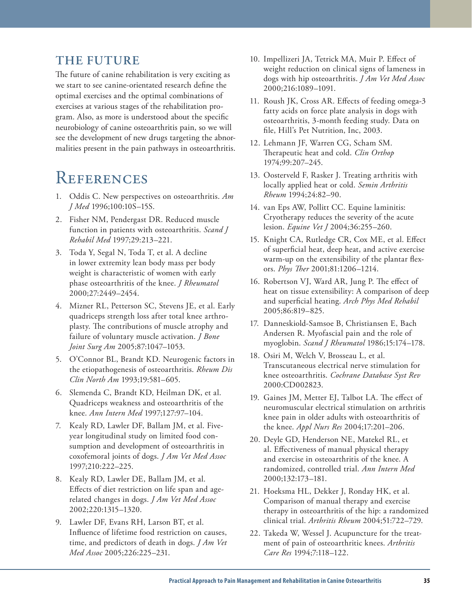## **The future**

The future of canine rehabilitation is very exciting as we start to see canine-orientated research define the optimal exercises and the optimal combinations of exercises at various stages of the rehabilitation program. Also, as more is understood about the specific neurobiology of canine osteoarthritis pain, so we will see the development of new drugs targeting the abnormalities present in the pain pathways in osteoarthritis.

## **REFERENCES**

- 1. Oddis C. New perspectives on osteoarthritis. *Am J Med* 1996;100:10S–15S.
- 2. Fisher NM, Pendergast DR. Reduced muscle function in patients with osteoarthritis. *Scand J Rehabil Med* 1997;29:213–221.
- 3. Toda Y, Segal N, Toda T, et al. A decline in lower extremity lean body mass per body weight is characteristic of women with early phase osteoarthritis of the knee. *J Rheumatol*  2000;27:2449–2454.
- 4. Mizner RL, Petterson SC, Stevens JE, et al. Early quadriceps strength loss after total knee arthroplasty. The contributions of muscle atrophy and failure of voluntary muscle activation. *J Bone Joint Surg Am* 2005;87:1047–1053.
- 5. O'Connor BL, Brandt KD. Neurogenic factors in the etiopathogenesis of osteoarthritis. *Rheum Dis Clin North Am* 1993;19:581–605.
- 6. Slemenda C, Brandt KD, Heilman DK, et al. Quadriceps weakness and osteoarthritis of the knee. *Ann Intern Med* 1997;127:97–104.
- 7. Kealy RD, Lawler DF, Ballam JM, et al. Fiveyear longitudinal study on limited food consumption and development of osteoarthritis in coxofemoral joints of dogs. *J Am Vet Med Assoc* 1997;210:222–225.
- 8. Kealy RD, Lawler DE, Ballam JM, et al. Effects of diet restriction on life span and agerelated changes in dogs. *J Am Vet Med Assoc* 2002;220:1315–1320.
- 9. Lawler DF, Evans RH, Larson BT, et al. Influence of lifetime food restriction on causes, time, and predictors of death in dogs. *J Am Vet Med Assoc* 2005;226:225–231.
- 10. Impellizeri JA, Tetrick MA, Muir P. Effect of weight reduction on clinical signs of lameness in dogs with hip osteoarthritis. *J Am Vet Med Assoc* 2000;216:1089–1091.
- 11. Roush JK, Cross AR. Effects of feeding omega-3 fatty acids on force plate analysis in dogs with osteoarthritis, 3-month feeding study. Data on file, Hill's Pet Nutrition, Inc, 2003.
- 12. Lehmann JF, Warren CG, Scham SM. Therapeutic heat and cold. *Clin Orthop*  1974;99:207–245.
- 13. Oosterveld F, Rasker J. Treating arthritis with locally applied heat or cold. *Semin Arthritis Rheum* 1994;24:82–90.
- 14. van Eps AW, Pollitt CC. Equine laminitis: Cryotherapy reduces the severity of the acute lesion. *Equine Vet J* 2004;36:255–260.
- 15. Knight CA, Rutledge CR, Cox ME, et al. Effect of superficial heat, deep heat, and active exercise warm-up on the extensibility of the plantar flexors. *Phys Ther* 2001;81:1206–1214.
- 16. Robertson VJ, Ward AR, Jung P. The effect of heat on tissue extensibility: A comparison of deep and superficial heating. *Arch Phys Med Rehabil*  2005;86:819–825.
- 17. Danneskiold-Samsoe B, Christiansen E, Bach Andersen R. Myofascial pain and the role of myoglobin. *Scand J Rheumatol* 1986;15:174–178.
- 18. Osiri M, Welch V, Brosseau L, et al. Transcutaneous electrical nerve stimulation for knee osteoarthritis. *Cochrane Database Syst Rev*  2000:CD002823.
- 19. Gaines JM, Metter EJ, Talbot LA. The effect of neuromuscular electrical stimulation on arthritis knee pain in older adults with osteoarthritis of the knee. *Appl Nurs Res* 2004;17:201–206.
- 20. Deyle GD, Henderson NE, Matekel RL, et al. Effectiveness of manual physical therapy and exercise in osteoarthritis of the knee. A randomized, controlled trial. *Ann Intern Med*  2000;132:173–181.
- 21. Hoeksma HL, Dekker J, Ronday HK, et al. Comparison of manual therapy and exercise therapy in osteoarthritis of the hip: a randomized clinical trial. *Arthritis Rheum* 2004;51:722–729.
- 22. Takeda W, Wessel J. Acupuncture for the treatment of pain of osteoarthritic knees. *Arthritis Care Res* 1994;7:118–122.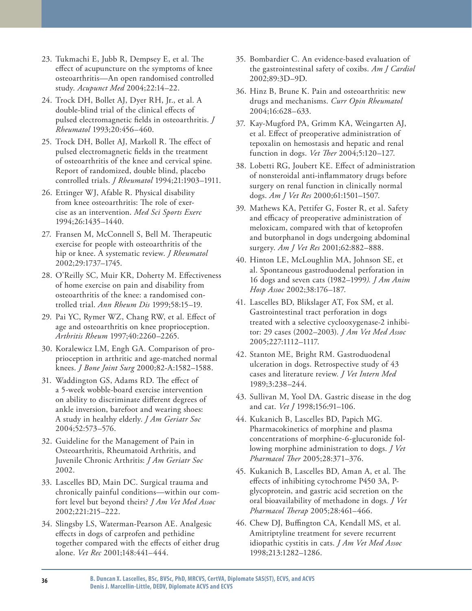- 23. Tukmachi E, Jubb R, Dempsey E, et al. The effect of acupuncture on the symptoms of knee osteoarthritis—An open randomised controlled study. *Acupunct Med* 2004;22:14–22.
- 24. Trock DH, Bollet AJ, Dyer RH, Jr., et al. A double-blind trial of the clinical effects of pulsed electromagnetic fields in osteoarthritis. *J Rheumatol* 1993;20:456–460.
- 25. Trock DH, Bollet AJ, Markoll R. The effect of pulsed electromagnetic fields in the treatment of osteoarthritis of the knee and cervical spine. Report of randomized, double blind, placebo controlled trials. *J Rheumatol* 1994;21:1903–1911.
- 26. Ettinger WJ, Afable R. Physical disability from knee osteoarthritis: The role of exercise as an intervention. *Med Sci Sports Exerc*  1994;26:1435–1440.
- 27. Fransen M, McConnell S, Bell M. Therapeutic exercise for people with osteoarthritis of the hip or knee. A systematic review. *J Rheumatol*  2002;29:1737–1745.
- 28. O'Reilly SC, Muir KR, Doherty M. Effectiveness of home exercise on pain and disability from osteoarthritis of the knee: a randomised controlled trial. *Ann Rheum Dis* 1999;58:15–19.
- 29. Pai YC, Rymer WZ, Chang RW, et al. Effect of age and osteoarthritis on knee proprioception. *Arthritis Rheum* 1997;40:2260–2265.
- 30. Koralewicz LM, Engh GA. Comparison of proprioception in arthritic and age-matched normal knees. *J Bone Joint Surg* 2000;82-A:1582–1588.
- 31. Waddington GS, Adams RD. The effect of a 5-week wobble-board exercise intervention on ability to discriminate different degrees of ankle inversion, barefoot and wearing shoes: A study in healthy elderly. *J Am Geriatr Soc*  2004;52:573–576.
- 32. Guideline for the Management of Pain in Osteoarthritis, Rheumatoid Arthritis, and Juvenile Chronic Arthritis: *J Am Geriatr Soc* 2002.
- 33. Lascelles BD, Main DC. Surgical trauma and chronically painful conditions—within our comfort level but beyond theirs? *J Am Vet Med Assoc* 2002;221:215–222.
- 34. Slingsby LS, Waterman-Pearson AE. Analgesic effects in dogs of carprofen and pethidine together compared with the effects of either drug alone. *Vet Rec* 2001;148:441–444.
- 35. Bombardier C. An evidence-based evaluation of the gastrointestinal safety of coxibs. *Am J Cardiol* 2002;89:3D–9D.
- 36. Hinz B, Brune K. Pain and osteoarthritis: new drugs and mechanisms. *Curr Opin Rheumatol* 2004;16:628–633.
- 37. Kay-Mugford PA, Grimm KA, Weingarten AJ, et al. Effect of preoperative administration of tepoxalin on hemostasis and hepatic and renal function in dogs. *Vet Ther* 2004;5:120–127.
- 38. Lobetti RG, Joubert KE. Effect of administration of nonsteroidal anti-inflammatory drugs before surgery on renal function in clinically normal dogs. *Am J Vet Res* 2000;61:1501–1507.
- 39. Mathews KA, Pettifer G, Foster R, et al. Safety and efficacy of preoperative administration of meloxicam, compared with that of ketoprofen and butorphanol in dogs undergoing abdominal surgery. *Am J Vet Res* 2001;62:882–888.
- 40. Hinton LE, McLoughlin MA, Johnson SE, et al. Spontaneous gastroduodenal perforation in 16 dogs and seven cats (1982–1999*). J Am Anim Hosp Assoc* 2002;38:176–187.
- 41. Lascelles BD, Blikslager AT, Fox SM, et al. Gastrointestinal tract perforation in dogs treated with a selective cyclooxygenase-2 inhibitor: 29 cases (2002–2003). *J Am Vet Med Assoc* 2005;227:1112–1117.
- 42. Stanton ME, Bright RM. Gastroduodenal ulceration in dogs. Retrospective study of 43 cases and literature review*. J Vet Intern Med* 1989;3:238–244.
- 43. Sullivan M, Yool DA. Gastric disease in the dog and cat. *Vet J* 1998;156:91–106.
- 44. Kukanich B, Lascelles BD, Papich MG. Pharmacokinetics of morphine and plasma concentrations of morphine-6-glucuronide following morphine administration to dogs. *J Vet Pharmacol Ther* 2005;28:371–376.
- 45. Kukanich B, Lascelles BD, Aman A, et al. The effects of inhibiting cytochrome P450 3A, Pglycoprotein, and gastric acid secretion on the oral bioavailability of methadone in dogs*. J Vet Pharmacol Therap* 2005;28:461–466.
- 46. Chew DJ, Buffington CA, Kendall MS, et al. Amitriptyline treatment for severe recurrent idiopathic cystitis in cats. *J Am Vet Med Assoc* 1998;213:1282–1286.